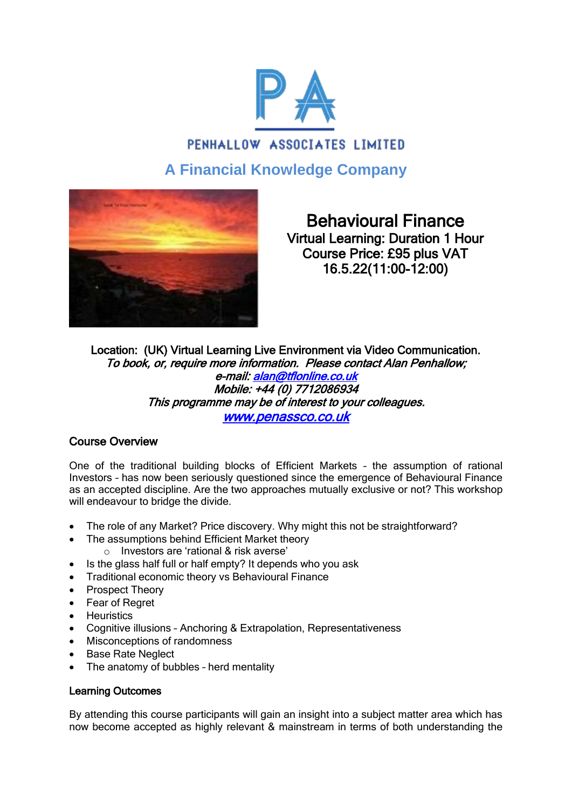

# PENHALLOW ASSOCIATES LIMITED **A Financial Knowledge Company**



Behavioural Finance Virtual Learning: Duration 1 Hour Course Price: £95 plus VAT 16.5.22(11:00-12:00)

Location: (UK) Virtual Learning Live Environment via Video Communication. To book, or, require more information. Please contact Alan Penhallow; e-mail: [alan@tflonline.co.uk](mailto:alan@tflonline.co.uk)  Mobile: +44 (0) 7712086934 This programme may be of interest to your colleagues. [www.penassco.co.uk](http://www.penassco.co.uk/) 

## Course Overview

One of the traditional building blocks of Efficient Markets – the assumption of rational Investors – has now been seriously questioned since the emergence of Behavioural Finance as an accepted discipline. Are the two approaches mutually exclusive or not? This workshop will endeavour to bridge the divide.

- The role of any Market? Price discovery. Why might this not be straightforward?
	- The assumptions behind Efficient Market theory
		- o Investors are 'rational & risk averse'
- Is the glass half full or half empty? It depends who you ask
- **•** Traditional economic theory vs Behavioural Finance
- Prospect Theory
- Fear of Regret
- **•** Heuristics
- Cognitive illusions Anchoring & Extrapolation, Representativeness
- Misconceptions of randomness
- Base Rate Neglect
- The anatomy of bubbles herd mentality

### Learning Outcomes

By attending this course participants will gain an insight into a subject matter area which has now become accepted as highly relevant & mainstream in terms of both understanding the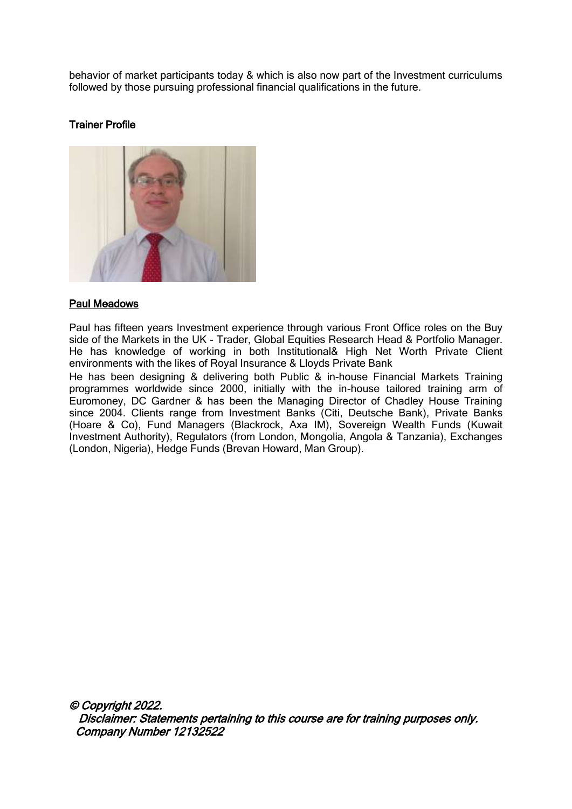behavior of market participants today & which is also now part of the Investment curriculums followed by those pursuing professional financial qualifications in the future.

#### Trainer Profile



#### [Paul Meadows](http://www.businessriskroundtable.com/members-business-risk-round-table/132-equities.html)

Paul has fifteen years Investment experience through various Front Office roles on the Buy side of the Markets in the UK - Trader, Global Equities Research Head & Portfolio Manager. He has knowledge of working in both Institutional& High Net Worth Private Client environments with the likes of Royal Insurance & Lloyds Private Bank

He has been designing & delivering both Public & in-house Financial Markets Training programmes worldwide since 2000, initially with the in-house tailored training arm of Euromoney, DC Gardner & has been the Managing Director of Chadley House Training since 2004. Clients range from Investment Banks (Citi, Deutsche Bank), Private Banks (Hoare & Co), Fund Managers (Blackrock, Axa IM), Sovereign Wealth Funds (Kuwait Investment Authority), Regulators (from London, Mongolia, Angola & Tanzania), Exchanges (London, Nigeria), Hedge Funds (Brevan Howard, Man Group).

© Copyright 2022. Disclaimer: Statements pertaining to this course are for training purposes only. Company Number 12132522